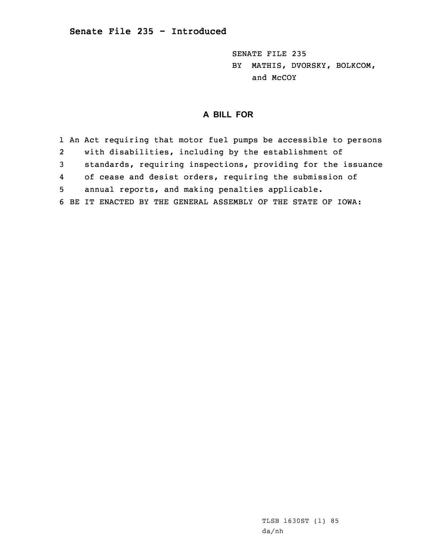SENATE FILE 235 BY MATHIS, DVORSKY, BOLKCOM, and McCOY

## **A BILL FOR**

1 An Act requiring that motor fuel pumps be accessible to persons 2 with disabilities, including by the establishment of 3 standards, requiring inspections, providing for the issuance 4 of cease and desist orders, requiring the submission of 5 annual reports, and making penalties applicable. 6 BE IT ENACTED BY THE GENERAL ASSEMBLY OF THE STATE OF IOWA: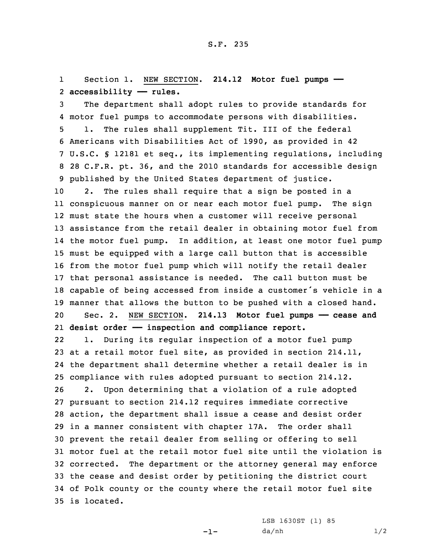1 Section 1. NEW SECTION. **214.12 Motor fuel pumps ——** 2 **accessibility —— rules.**

 The department shall adopt rules to provide standards for motor fuel pumps to accommodate persons with disabilities. 1. The rules shall supplement Tit. III of the federal Americans with Disabilities Act of 1990, as provided in 42 U.S.C. § 12181 et seq., its implementing regulations, including 28 C.F.R. pt. 36, and the 2010 standards for accessible design published by the United States department of justice.

 2. The rules shall require that <sup>a</sup> sign be posted in <sup>a</sup> conspicuous manner on or near each motor fuel pump. The sign must state the hours when <sup>a</sup> customer will receive personal assistance from the retail dealer in obtaining motor fuel from the motor fuel pump. In addition, at least one motor fuel pump must be equipped with <sup>a</sup> large call button that is accessible from the motor fuel pump which will notify the retail dealer that personal assistance is needed. The call button must be capable of being accessed from inside <sup>a</sup> customer's vehicle in <sup>a</sup> manner that allows the button to be pushed with <sup>a</sup> closed hand. Sec. 2. NEW SECTION. **214.13 Motor fuel pumps —— cease and desist order —— inspection and compliance report.**

22 1. During its regular inspection of <sup>a</sup> motor fuel pump at <sup>a</sup> retail motor fuel site, as provided in section 214.11, the department shall determine whether <sup>a</sup> retail dealer is in compliance with rules adopted pursuant to section 214.12. 2. Upon determining that <sup>a</sup> violation of <sup>a</sup> rule adopted pursuant to section 214.12 requires immediate corrective action, the department shall issue <sup>a</sup> cease and desist order in <sup>a</sup> manner consistent with chapter 17A. The order shall prevent the retail dealer from selling or offering to sell motor fuel at the retail motor fuel site until the violation is corrected. The department or the attorney general may enforce the cease and desist order by petitioning the district court of Polk county or the county where the retail motor fuel site is located.

-1-

LSB 1630ST (1) 85 da/nh 1/2